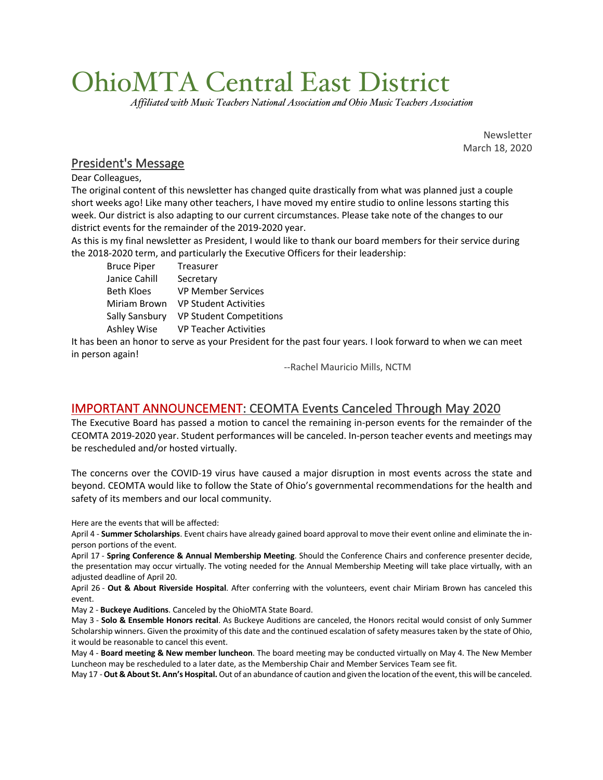# OhioMTA Central East District

*Affiliated with Music Teachers National Association and Ohio Music Teachers Association*

Newsletter March 18, 2020

### President's Message

Dear Colleagues,

The original content of this newsletter has changed quite drastically from what was planned just a couple short weeks ago! Like many other teachers, I have moved my entire studio to online lessons starting this week. Our district is also adapting to our current circumstances. Please take note of the changes to our district events for the remainder of the 2019-2020 year.

As this is my final newsletter as President, I would like to thank our board members for their service during the 2018-2020 term, and particularly the Executive Officers for their leadership:

Bruce Piper Treasurer Janice Cahill Secretary Beth Kloes VP Member Services Miriam Brown VP Student Activities Sally Sansbury VP Student Competitions Ashley Wise VP Teacher Activities

It has been an honor to serve as your President for the past four years. I look forward to when we can meet in person again!

--Rachel Mauricio Mills, NCTM

## IMPORTANT ANNOUNCEMENT: CEOMTA Events Canceled Through May 2020

The Executive Board has passed a motion to cancel the remaining in-person events for the remainder of the CEOMTA 2019-2020 year. Student performances will be canceled. In-person teacher events and meetings may be rescheduled and/or hosted virtually.

The concerns over the COVID-19 virus have caused a major disruption in most events across the state and beyond. CEOMTA would like to follow the State of Ohio's governmental recommendations for the health and safety of its members and our local community.

Here are the events that will be affected:

April 4 - **Summer Scholarships**. Event chairs have already gained board approval to move their event online and eliminate the inperson portions of the event.

April 17 - **Spring Conference & Annual Membership Meeting**. Should the Conference Chairs and conference presenter decide, the presentation may occur virtually. The voting needed for the Annual Membership Meeting will take place virtually, with an adjusted deadline of April 20.

April 26 - **Out & About Riverside Hospital**. After conferring with the volunteers, event chair Miriam Brown has canceled this event.

May 2 - **Buckeye Auditions**. Canceled by the OhioMTA State Board.

May 3 - **Solo & Ensemble Honors recital**. As Buckeye Auditions are canceled, the Honors recital would consist of only Summer Scholarship winners. Given the proximity of this date and the continued escalation of safety measures taken by the state of Ohio, it would be reasonable to cancel this event.

May 4 - **Board meeting & New member luncheon**. The board meeting may be conducted virtually on May 4. The New Member Luncheon may be rescheduled to a later date, as the Membership Chair and Member Services Team see fit.

May 17 -**Out & About St. Ann's Hospital.** Out of an abundance of caution and given the location of the event, this will be canceled.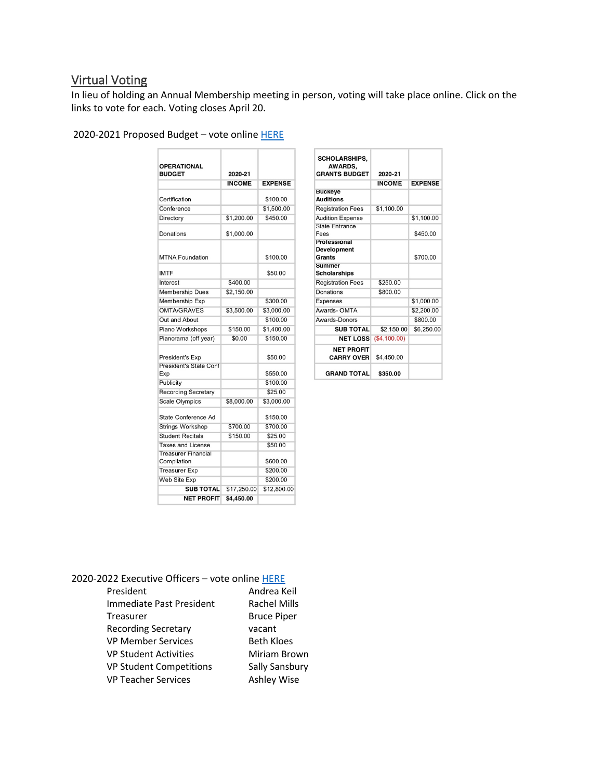# Virtual Voting

In lieu of holding an Annual Membership meeting in person, voting will take place online. Click on the links to vote for each. Voting closes April 20.

| 2020-2021 Proposed Budget - vote online HERE |  |
|----------------------------------------------|--|
|----------------------------------------------|--|

| <b>OPERATIONAL</b><br><b>BUDGET</b>       | 2020-21       |                |  |
|-------------------------------------------|---------------|----------------|--|
|                                           | <b>INCOME</b> | <b>EXPENSE</b> |  |
| Certification                             |               | \$100.00       |  |
| Conference                                |               | \$1,500.00     |  |
| Directory                                 | \$1,200.00    | \$450.00       |  |
| Donations                                 | \$1,000.00    |                |  |
| <b>MTNA Foundation</b>                    |               | \$100.00       |  |
| <b>IMTF</b>                               |               | \$50.00        |  |
| Interest                                  | \$400.00      |                |  |
| <b>Membership Dues</b>                    | \$2,150.00    |                |  |
| Membership Exp                            |               | \$300.00       |  |
| <b>OMTA/GRAVES</b>                        | \$3,500.00    | \$3,000.00     |  |
| Out and About                             |               | \$100.00       |  |
| Piano Workshops                           | \$150.00      | \$1,400.00     |  |
| Pianorama (off year)                      | \$0.00        | \$150.00       |  |
| President's Exp                           |               | \$50.00        |  |
| <b>President's State Conf</b><br>Exp      |               | \$550.00       |  |
| Publicity                                 |               | \$100.00       |  |
| <b>Recording Secretary</b>                |               | \$25.00        |  |
| <b>Scale Olympics</b>                     | \$8,000.00    | \$3,000.00     |  |
| State Conference Ad                       |               | \$150.00       |  |
| Strings Workshop                          | \$700.00      | \$700.00       |  |
| <b>Student Recitals</b>                   | \$150.00      | \$25.00        |  |
| <b>Taxes and License</b>                  |               | \$50.00        |  |
| <b>Treasurer Financial</b><br>Compilation |               | \$600.00       |  |
| <b>Treasurer Exp</b>                      |               | \$200.00       |  |
| Web Site Exp                              |               | \$200.00       |  |
| <b>SUB TOTAL</b>                          | \$17,250.00   | \$12,800.00    |  |
| <b>NET PROFIT</b>                         | \$4,450.00    |                |  |

| <b>SCHOLARSHIPS,</b><br><b>AWARDS.</b><br><b>GRANTS BUDGET</b> | 2020-21       |                |
|----------------------------------------------------------------|---------------|----------------|
|                                                                | <b>INCOME</b> | <b>EXPENSE</b> |
| <b>Buckeve</b><br><b>Auditions</b>                             |               |                |
| <b>Registration Fees</b>                                       | \$1,100.00    |                |
| <b>Audition Expense</b>                                        |               | \$1,100.00     |
| State Entrance<br>Fees                                         |               | \$450.00       |
| Protessional<br><b>Development</b><br>Grants                   |               | \$700.00       |
| Summer<br><b>Scholarships</b>                                  |               |                |
| <b>Registration Fees</b>                                       | \$250.00      |                |
| Donations                                                      | \$800.00      |                |
| <b>Expenses</b>                                                |               | \$1,000.00     |
| Awards-OMTA                                                    |               | \$2,200.00     |
| Awards-Donors                                                  |               | \$800.00       |
| <b>SUB TOTAL</b>                                               | \$2,150.00    | \$6,250.00     |
| <b>NET LOSS</b>                                                | (\$4,100.00)  |                |
| <b>NET PROFIT</b><br><b>CARRY OVER</b>                         | \$4,450.00    |                |
| <b>GRAND TOTAL</b>                                             | \$350.00      |                |

#### 2020-2022 Executive Officers - vote online HERE

| President                      | Andrea Keil         |
|--------------------------------|---------------------|
| Immediate Past President       | <b>Rachel Mills</b> |
| Treasurer                      | <b>Bruce Piper</b>  |
| <b>Recording Secretary</b>     | vacant              |
| <b>VP Member Services</b>      | <b>Beth Kloes</b>   |
| <b>VP Student Activities</b>   | Miriam Brown        |
| <b>VP Student Competitions</b> | Sally Sansbury      |
| <b>VP Teacher Services</b>     | <b>Ashley Wise</b>  |
|                                |                     |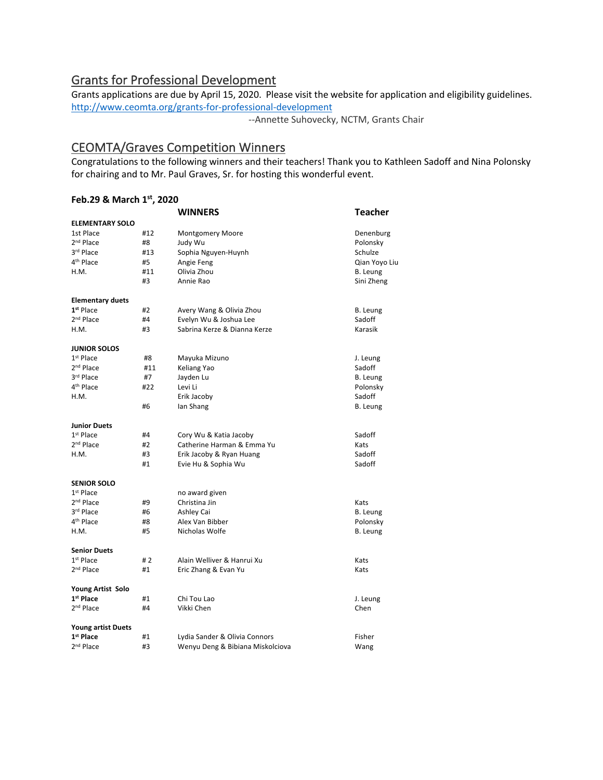# Grants for Professional Development

Grants applications are due by April 15, 2020. Please visit the website for application and eligibility guidelines. http://www.ceomta.org/grants-for-professional-development

--Annette Suhovecky, NCTM, Grants Chair

# CEOMTA/Graves Competition Winners

Congratulations to the following winners and their teachers! Thank you to Kathleen Sadoff and Nina Polonsky for chairing and to Mr. Paul Graves, Sr. for hosting this wonderful event.

#### **Feb.29 & March 1st, 2020**

|       | <b>WINNERS</b>                   | <b>Teacher</b> |
|-------|----------------------------------|----------------|
|       |                                  |                |
| #12   | <b>Montgomery Moore</b>          | Denenburg      |
| #8    | Judy Wu                          | Polonsky       |
| #13   | Sophia Nguyen-Huynh              | Schulze        |
| #5    | Angie Feng                       | Qian Yoyo Liu  |
| #11   | Olivia Zhou                      | B. Leung       |
| #3    | Annie Rao                        | Sini Zheng     |
|       |                                  |                |
| #2    | Avery Wang & Olivia Zhou         | B. Leung       |
| #4    | Evelyn Wu & Joshua Lee           | Sadoff         |
| #3    | Sabrina Kerze & Dianna Kerze     | Karasik        |
|       |                                  |                |
| #8    | Mayuka Mizuno                    | J. Leung       |
| #11   | Keliang Yao                      | Sadoff         |
| #7    | Jayden Lu                        | B. Leung       |
| #22   | Levi Li                          | Polonsky       |
|       | Erik Jacoby                      | Sadoff         |
| #6    | lan Shang                        | B. Leung       |
|       |                                  |                |
| #4    | Cory Wu & Katia Jacoby           | Sadoff         |
| #2    | Catherine Harman & Emma Yu       | Kats           |
| #3    | Erik Jacoby & Ryan Huang         | Sadoff         |
| #1    | Evie Hu & Sophia Wu              | Sadoff         |
|       |                                  |                |
|       | no award given                   |                |
| #9    | Christina Jin                    | Kats           |
| #6    | Ashley Cai                       | B. Leung       |
| #8    | Alex Van Bibber                  | Polonsky       |
| #5    | Nicholas Wolfe                   | B. Leung       |
|       |                                  |                |
| # $2$ | Alain Welliver & Hanrui Xu       | Kats           |
| #1    | Eric Zhang & Evan Yu             | Kats           |
|       |                                  |                |
| #1    | Chi Tou Lao                      | J. Leung       |
| #4    | Vikki Chen                       | Chen           |
|       |                                  |                |
| #1    | Lydia Sander & Olivia Connors    | Fisher         |
| #3    | Wenyu Deng & Bibiana Miskolciova | Wang           |
|       | <b>ELEMENTARY SOLO</b>           |                |